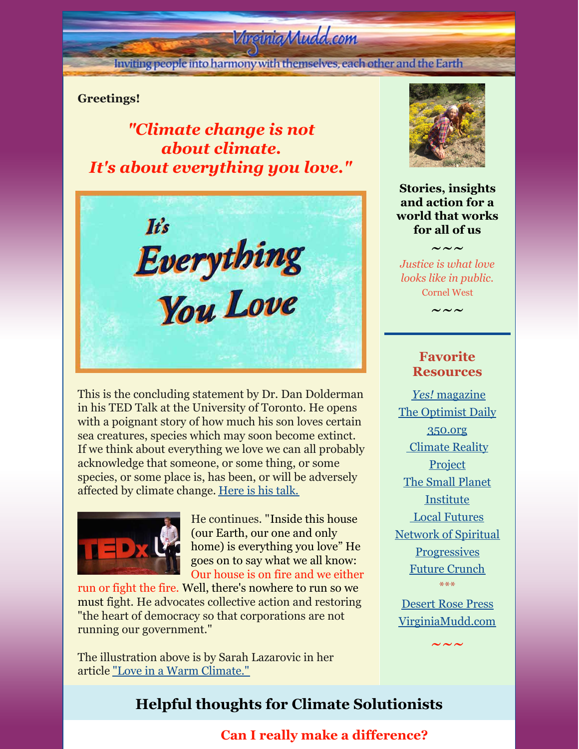# Virginia Mudd.com

Inviting people into harmony with themselves, each other and the Earth

### **Greetings!**

*"Climate change is not about climate. It's about everything you love."*



This is the concluding statement by Dr. Dan Dolderman in his TED Talk at the University of Toronto. He opens with a poignant story of how much his son loves certain sea creatures, species which may soon become extinct. If we think about everything we love we can all probably acknowledge that someone, or some thing, or some species, or some place is, has been, or will be adversely affected by climate change. [Here](https://www.youtube.com/watch?v=bFoqRsWS6Ag) is his talk.



He continues. "Inside this house (our Earth, our one and only home) is everything you love" He goes on to say what we all know: Our house is on fire and we either

run or fight the fire. Well, there's nowhere to run so we must fight. He advocates collective action and restoring "the heart of democracy so that corporations are not running our government."

The illustration above is by Sarah Lazarovic in her article "Love in a Warm [Climate."](https://mailchi.mp/c657fcd74763/minimum-viable-planet-everything-you-love-edition?fbclid=IwAR1_JlmSzwN9UOMOl1i8pu_T_ANi-Qu0y3DFvK-jGWzjX51vA63I9k6GU-k)



**Stories, insights and action for a world that works for all of us**

*Justice is what love looks like in public.* Cornel West

 $\sim\,\sim\,\sim$ 

 $\sim\sim\sim$ 

## **Favorite Resources**

*[Yes!](http://www.yesmagazine.org/)* [magazine](http://www.yesmagazine.org/) The [Optimist](https://worldbusiness.org/optimist/) Daily [350.org](http://350.org/) [Climate](https://www.climaterealityproject.org/) Reality **Project** The Small Planet [Institute](http://smallplanet.org/) Local [Futures](http://www.localfutures.org/) Network of Spiritual **[Progressives](http://spiritualprogressives.org/newsite/)** Future [Crunch](https://futurecrun.ch/goodnews) \*\*\* [Desert](http://desertrosepress.com) Rose Press

[VirginiaMudd.com](http://virginiamudd.com/index.html)

 $\sim\,\sim\,\sim$ 

**Helpful thoughts for Climate Solutionists**

## **Can I really make a difference?**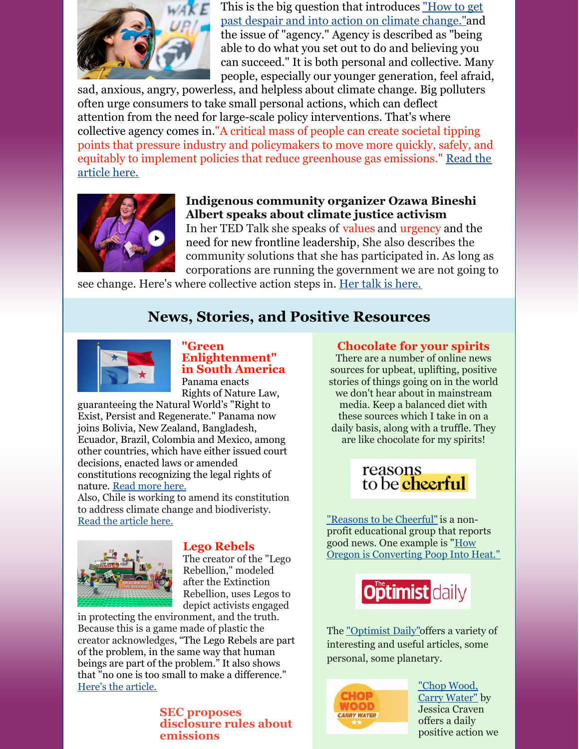

This is the big question that introduces "How to get past despair and into action on climate [change."and](https://www.yesmagazine.org/environment/2022/03/16/climate-action?utm_medium=email&utm_campaign=YESDaily_ 20220320&utm_content=YESDaily_ 20220320+CID_48077a6cc8ca0c099a1b8299f6132ed1&utm_source=CM&utm_term=Read the full story) the issue of "agency." Agency is described as "being able to do what you set out to do and believing you can succeed." It is both personal and collective. Many people, especially our younger generation, feel afraid,

sad, anxious, angry, powerless, and helpless about climate change. Big polluters often urge consumers to take small personal actions, which can deflect attention from the need for large-scale policy interventions. That's where collective agency comes in."A critical mass of people can create societal tipping points that pressure industry and policymakers to move more quickly, safely, and equitably to implement policies that reduce [greenhouse](https://www.yesmagazine.org/environment/2022/03/16/climate-action?utm_medium=email&utm_campaign=YESDaily_ 20220320&utm_content=YESDaily_ 20220320+CID_48077a6cc8ca0c099a1b8299f6132ed1&utm_source=CM&utm_term=Read the full story) gas emissions." Read the article here.



## **Indigenous community organizer Ozawa Bineshi Albert speaks about climate justice activism**

In her TED Talk she speaks of values and urgency and the need for new frontline leadership, She also describes the community solutions that she has participated in. As long as corporations are running the government we are not going to

see change. Here's where collective action steps in. Her talk is [here.](https://www.ted.com/talks/ozawa_bineshi_albert_climate_action_needs_new_frontline_leadership)

# **News, Stories, and Positive Resources**



**"Green Enlightenment" in South America** Panama enacts Rights of Nature Law,

guaranteeing the Natural World's "Right to Exist, Persist and Regenerate." Panama now joins Bolivia, New Zealand, Bangladesh, Ecuador, Brazil, Colombia and Mexico, among other countries, which have either issued court decisions, enacted laws or amended constitutions recognizing the legal rights of nature. Read [more](https://insideclimatenews.org/news/25022022/panama-rights-of-nature/) here.

Also, Chile is working to amend its constitution to address climate change and biodiveristy. Read the [article](https://www.optimistdaily.com/2022/04/chile-joins-the-legislation-green-wave/) here.



## **Lego Rebels**

The creator of the "Lego Rebellion," modeled after the Extinction Rebellion, uses Legos to depict activists engaged

in protecting the environment, and the truth. Because this is a game made of plastic the creator acknowledges, "The Lego Rebels are part of the problem, in the same way that human beings are part of the problem." It also shows that "no one is too small to make a difference." Here's the [article.](https://www.euronews.com/green/2022/03/14/these-lego-climate-rebels-are-proving-that-no-one-is-too-small-to-make-a-difference)

#### **SEC proposes disclosure rules about emissions**

#### **Chocolate for your spirits**

There are a number of online news sources for upbeat, uplifting, positive stories of things going on in the world we don't hear about in mainstream media. Keep a balanced diet with these sources which I take in on a daily basis, along with a truffle. They are like chocolate for my spirits!



"Reasons to be [Cheerful"](https://reasonstobecheerful.world) is a nonprofit educational group that reports good news. One example is "How Oregon is [Converting](https://reasonstobecheerful.world/oregon-water-treatment-methane-green-energy/) Poop Into Heat."



The ["Optimist](https://www.optimistdaily.com) Daily"offers a variety of interesting and useful articles, some personal, some planetary.



"Chop Wood, Carry [Water"](https://chopwoodcarrywaterdailyactions.substack.com) by Jessica Craven offers a daily positive action we